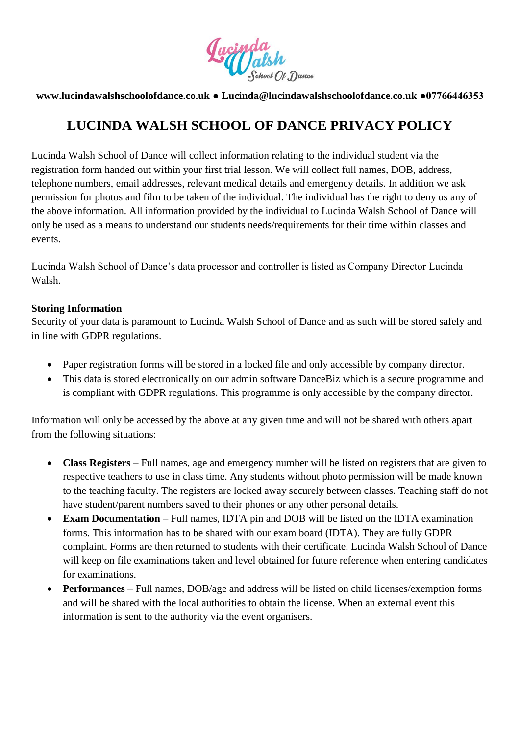

## **www.lucindawalshschoolofdance.co.uk ● Lucinda@lucindawalshschoolofdance.co.uk ●07766446353**

# **LUCINDA WALSH SCHOOL OF DANCE PRIVACY POLICY**

Lucinda Walsh School of Dance will collect information relating to the individual student via the registration form handed out within your first trial lesson. We will collect full names, DOB, address, telephone numbers, email addresses, relevant medical details and emergency details. In addition we ask permission for photos and film to be taken of the individual. The individual has the right to deny us any of the above information. All information provided by the individual to Lucinda Walsh School of Dance will only be used as a means to understand our students needs/requirements for their time within classes and events.

Lucinda Walsh School of Dance's data processor and controller is listed as Company Director Lucinda Walsh.

## **Storing Information**

Security of your data is paramount to Lucinda Walsh School of Dance and as such will be stored safely and in line with GDPR regulations.

- Paper registration forms will be stored in a locked file and only accessible by company director.
- This data is stored electronically on our admin software DanceBiz which is a secure programme and is compliant with GDPR regulations. This programme is only accessible by the company director.

Information will only be accessed by the above at any given time and will not be shared with others apart from the following situations:

- **Class Registers** Full names, age and emergency number will be listed on registers that are given to respective teachers to use in class time. Any students without photo permission will be made known to the teaching faculty. The registers are locked away securely between classes. Teaching staff do not have student/parent numbers saved to their phones or any other personal details.
- **Exam Documentation** Full names, IDTA pin and DOB will be listed on the IDTA examination forms. This information has to be shared with our exam board (IDTA). They are fully GDPR complaint. Forms are then returned to students with their certificate. Lucinda Walsh School of Dance will keep on file examinations taken and level obtained for future reference when entering candidates for examinations.
- **Performances** Full names, DOB/age and address will be listed on child licenses/exemption forms and will be shared with the local authorities to obtain the license. When an external event this information is sent to the authority via the event organisers.